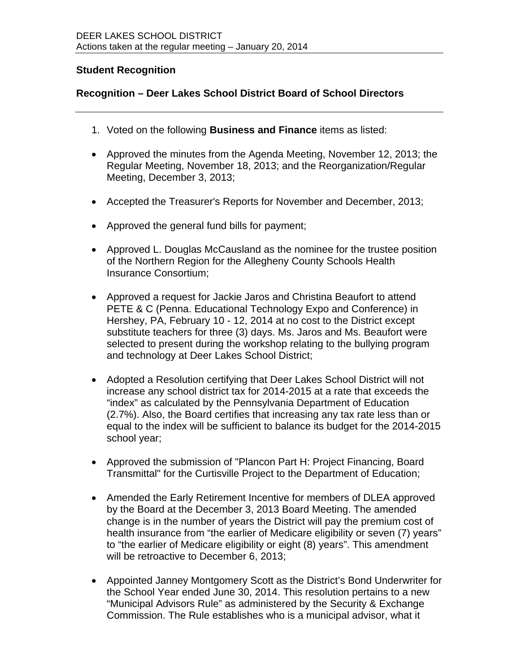## **Student Recognition**

## **Recognition – Deer Lakes School District Board of School Directors**

- 1. Voted on the following **Business and Finance** items as listed:
- Approved the minutes from the Agenda Meeting, November 12, 2013; the Regular Meeting, November 18, 2013; and the Reorganization/Regular Meeting, December 3, 2013;
- Accepted the Treasurer's Reports for November and December, 2013;
- Approved the general fund bills for payment;
- Approved L. Douglas McCausland as the nominee for the trustee position of the Northern Region for the Allegheny County Schools Health Insurance Consortium;
- Approved a request for Jackie Jaros and Christina Beaufort to attend PETE & C (Penna. Educational Technology Expo and Conference) in Hershey, PA, February 10 - 12, 2014 at no cost to the District except substitute teachers for three (3) days. Ms. Jaros and Ms. Beaufort were selected to present during the workshop relating to the bullying program and technology at Deer Lakes School District;
- Adopted a Resolution certifying that Deer Lakes School District will not increase any school district tax for 2014-2015 at a rate that exceeds the "index" as calculated by the Pennsylvania Department of Education (2.7%). Also, the Board certifies that increasing any tax rate less than or equal to the index will be sufficient to balance its budget for the 2014-2015 school year;
- Approved the submission of "Plancon Part H: Project Financing, Board Transmittal" for the Curtisville Project to the Department of Education;
- Amended the Early Retirement Incentive for members of DLEA approved by the Board at the December 3, 2013 Board Meeting. The amended change is in the number of years the District will pay the premium cost of health insurance from "the earlier of Medicare eligibility or seven (7) years" to "the earlier of Medicare eligibility or eight (8) years". This amendment will be retroactive to December 6, 2013;
- Appointed Janney Montgomery Scott as the District's Bond Underwriter for the School Year ended June 30, 2014. This resolution pertains to a new "Municipal Advisors Rule" as administered by the Security & Exchange Commission. The Rule establishes who is a municipal advisor, what it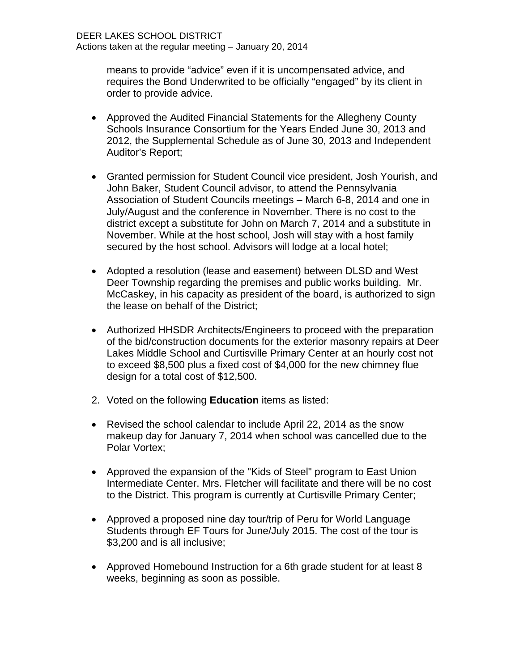means to provide "advice" even if it is uncompensated advice, and requires the Bond Underwrited to be officially "engaged" by its client in order to provide advice.

- Approved the Audited Financial Statements for the Allegheny County Schools Insurance Consortium for the Years Ended June 30, 2013 and 2012, the Supplemental Schedule as of June 30, 2013 and Independent Auditor's Report;
- Granted permission for Student Council vice president, Josh Yourish, and John Baker, Student Council advisor, to attend the Pennsylvania Association of Student Councils meetings – March 6-8, 2014 and one in July/August and the conference in November. There is no cost to the district except a substitute for John on March 7, 2014 and a substitute in November. While at the host school, Josh will stay with a host family secured by the host school. Advisors will lodge at a local hotel;
- Adopted a resolution (lease and easement) between DLSD and West Deer Township regarding the premises and public works building. Mr. McCaskey, in his capacity as president of the board, is authorized to sign the lease on behalf of the District;
- Authorized HHSDR Architects/Engineers to proceed with the preparation of the bid/construction documents for the exterior masonry repairs at Deer Lakes Middle School and Curtisville Primary Center at an hourly cost not to exceed \$8,500 plus a fixed cost of \$4,000 for the new chimney flue design for a total cost of \$12,500.
- 2. Voted on the following **Education** items as listed:
- Revised the school calendar to include April 22, 2014 as the snow makeup day for January 7, 2014 when school was cancelled due to the Polar Vortex;
- Approved the expansion of the "Kids of Steel" program to East Union Intermediate Center. Mrs. Fletcher will facilitate and there will be no cost to the District. This program is currently at Curtisville Primary Center;
- Approved a proposed nine day tour/trip of Peru for World Language Students through EF Tours for June/July 2015. The cost of the tour is \$3,200 and is all inclusive;
- Approved Homebound Instruction for a 6th grade student for at least 8 weeks, beginning as soon as possible.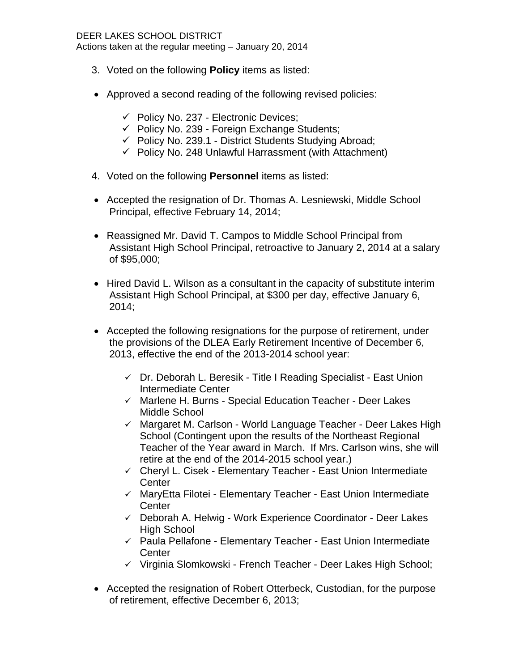- 3. Voted on the following **Policy** items as listed:
- Approved a second reading of the following revised policies:
	- $\checkmark$  Policy No. 237 Electronic Devices;
	- $\checkmark$  Policy No. 239 Foreign Exchange Students;
	- $\checkmark$  Policy No. 239.1 District Students Studying Abroad;
	- $\checkmark$  Policy No. 248 Unlawful Harrassment (with Attachment)
- 4. Voted on the following **Personnel** items as listed:
- Accepted the resignation of Dr. Thomas A. Lesniewski, Middle School Principal, effective February 14, 2014;
- Reassigned Mr. David T. Campos to Middle School Principal from Assistant High School Principal, retroactive to January 2, 2014 at a salary of \$95,000;
- Hired David L. Wilson as a consultant in the capacity of substitute interim Assistant High School Principal, at \$300 per day, effective January 6, 2014;
- Accepted the following resignations for the purpose of retirement, under the provisions of the DLEA Early Retirement Incentive of December 6, 2013, effective the end of the 2013-2014 school year:
	- $\checkmark$  Dr. Deborah L. Beresik Title I Reading Specialist East Union Intermediate Center
	- $\checkmark$  Marlene H. Burns Special Education Teacher Deer Lakes Middle School
	- $\checkmark$  Margaret M. Carlson World Language Teacher Deer Lakes High School (Contingent upon the results of the Northeast Regional Teacher of the Year award in March. If Mrs. Carlson wins, she will retire at the end of the 2014-2015 school year.)
	- $\checkmark$  Cheryl L. Cisek Elementary Teacher East Union Intermediate **Center**
	- $\checkmark$  MaryEtta Filotei Elementary Teacher East Union Intermediate **Center**
	- $\checkmark$  Deborah A. Helwig Work Experience Coordinator Deer Lakes High School
	- $\checkmark$  Paula Pellafone Elementary Teacher East Union Intermediate **Center**
	- $\checkmark$  Virginia Slomkowski French Teacher Deer Lakes High School;
- Accepted the resignation of Robert Otterbeck, Custodian, for the purpose of retirement, effective December 6, 2013;